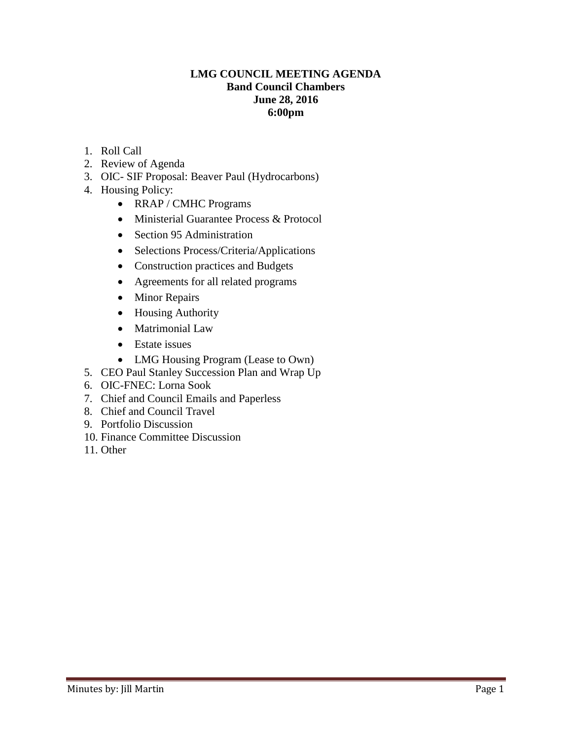## **LMG COUNCIL MEETING AGENDA Band Council Chambers June 28, 2016 6:00pm**

- 1. Roll Call
- 2. Review of Agenda
- 3. OIC- SIF Proposal: Beaver Paul (Hydrocarbons)
- 4. Housing Policy:
	- RRAP / CMHC Programs
	- Ministerial Guarantee Process & Protocol
	- Section 95 Administration
	- Selections Process/Criteria/Applications
	- Construction practices and Budgets
	- Agreements for all related programs
	- Minor Repairs
	- Housing Authority
	- Matrimonial Law
	- Estate issues
	- LMG Housing Program (Lease to Own)
- 5. CEO Paul Stanley Succession Plan and Wrap Up
- 6. OIC-FNEC: Lorna Sook
- 7. Chief and Council Emails and Paperless
- 8. Chief and Council Travel
- 9. Portfolio Discussion
- 10. Finance Committee Discussion
- 11. Other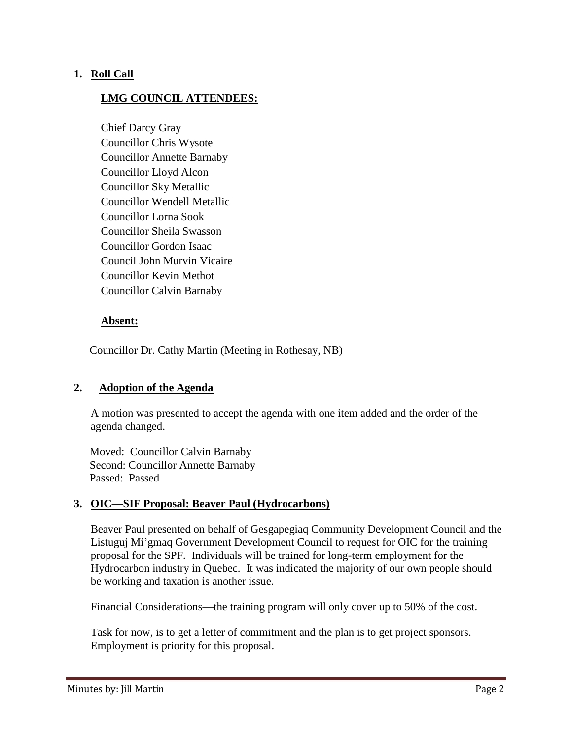## **1. Roll Call**

## **LMG COUNCIL ATTENDEES:**

Chief Darcy Gray Councillor Chris Wysote Councillor Annette Barnaby Councillor Lloyd Alcon Councillor Sky Metallic Councillor Wendell Metallic Councillor Lorna Sook Councillor Sheila Swasson Councillor Gordon Isaac Council John Murvin Vicaire Councillor Kevin Methot Councillor Calvin Barnaby

### **Absent:**

Councillor Dr. Cathy Martin (Meeting in Rothesay, NB)

### **2. Adoption of the Agenda**

A motion was presented to accept the agenda with one item added and the order of the agenda changed.

 Moved: Councillor Calvin Barnaby Second: Councillor Annette Barnaby Passed: Passed

### **3. OIC—SIF Proposal: Beaver Paul (Hydrocarbons)**

Beaver Paul presented on behalf of Gesgapegiaq Community Development Council and the Listuguj Mi'gmaq Government Development Council to request for OIC for the training proposal for the SPF. Individuals will be trained for long-term employment for the Hydrocarbon industry in Quebec. It was indicated the majority of our own people should be working and taxation is another issue.

Financial Considerations—the training program will only cover up to 50% of the cost.

Task for now, is to get a letter of commitment and the plan is to get project sponsors. Employment is priority for this proposal.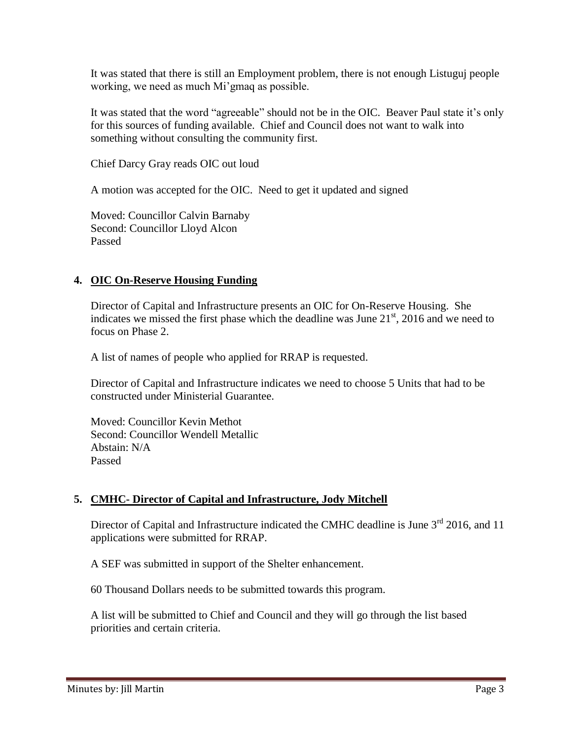It was stated that there is still an Employment problem, there is not enough Listuguj people working, we need as much Mi'gmaq as possible.

It was stated that the word "agreeable" should not be in the OIC. Beaver Paul state it's only for this sources of funding available. Chief and Council does not want to walk into something without consulting the community first.

Chief Darcy Gray reads OIC out loud

A motion was accepted for the OIC. Need to get it updated and signed

Moved: Councillor Calvin Barnaby Second: Councillor Lloyd Alcon Passed

# **4. OIC On-Reserve Housing Funding**

Director of Capital and Infrastructure presents an OIC for On-Reserve Housing. She indicates we missed the first phase which the deadline was June  $21<sup>st</sup>$ , 2016 and we need to focus on Phase 2.

A list of names of people who applied for RRAP is requested.

Director of Capital and Infrastructure indicates we need to choose 5 Units that had to be constructed under Ministerial Guarantee.

Moved: Councillor Kevin Methot Second: Councillor Wendell Metallic Abstain: N/A Passed

# **5. CMHC- Director of Capital and Infrastructure, Jody Mitchell**

Director of Capital and Infrastructure indicated the CMHC deadline is June 3<sup>rd</sup> 2016, and 11 applications were submitted for RRAP.

A SEF was submitted in support of the Shelter enhancement.

60 Thousand Dollars needs to be submitted towards this program.

A list will be submitted to Chief and Council and they will go through the list based priorities and certain criteria.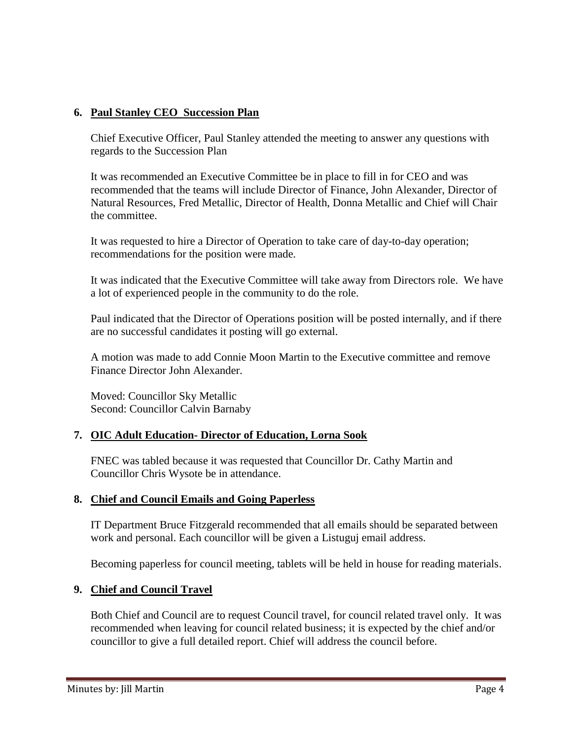# **6. Paul Stanley CEO Succession Plan**

Chief Executive Officer, Paul Stanley attended the meeting to answer any questions with regards to the Succession Plan

It was recommended an Executive Committee be in place to fill in for CEO and was recommended that the teams will include Director of Finance, John Alexander, Director of Natural Resources, Fred Metallic, Director of Health, Donna Metallic and Chief will Chair the committee.

It was requested to hire a Director of Operation to take care of day-to-day operation; recommendations for the position were made.

It was indicated that the Executive Committee will take away from Directors role. We have a lot of experienced people in the community to do the role.

Paul indicated that the Director of Operations position will be posted internally, and if there are no successful candidates it posting will go external.

A motion was made to add Connie Moon Martin to the Executive committee and remove Finance Director John Alexander.

Moved: Councillor Sky Metallic Second: Councillor Calvin Barnaby

# **7. OIC Adult Education- Director of Education, Lorna Sook**

FNEC was tabled because it was requested that Councillor Dr. Cathy Martin and Councillor Chris Wysote be in attendance.

### **8. Chief and Council Emails and Going Paperless**

IT Department Bruce Fitzgerald recommended that all emails should be separated between work and personal. Each councillor will be given a Listuguj email address.

Becoming paperless for council meeting, tablets will be held in house for reading materials.

### **9. Chief and Council Travel**

Both Chief and Council are to request Council travel, for council related travel only. It was recommended when leaving for council related business; it is expected by the chief and/or councillor to give a full detailed report. Chief will address the council before.